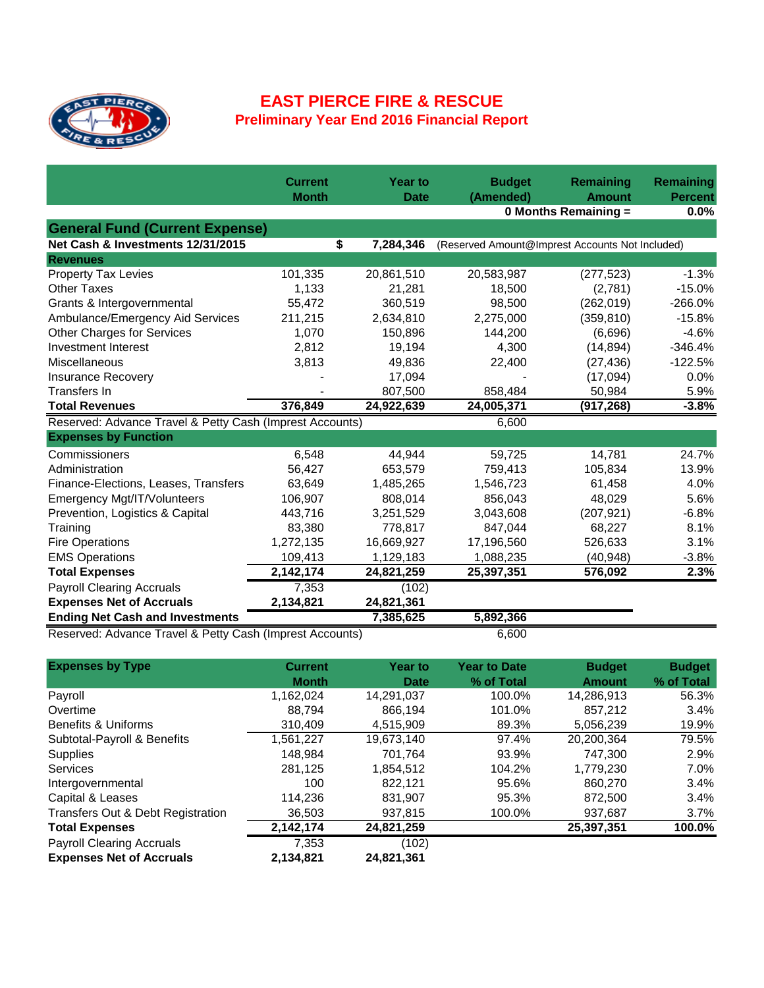

## **EAST PIERCE FIRE & RESCUE Preliminary Year End 2016 Financial Report**

|                                                          | <b>Current</b><br><b>Month</b>                           | <b>Year to</b><br><b>Date</b> | <b>Budget</b><br>(Amended) | Remaining<br><b>Amount</b>                      | Remaining<br><b>Percent</b> |  |
|----------------------------------------------------------|----------------------------------------------------------|-------------------------------|----------------------------|-------------------------------------------------|-----------------------------|--|
|                                                          |                                                          |                               |                            | 0 Months Remaining =                            |                             |  |
| <b>General Fund (Current Expense)</b>                    |                                                          |                               |                            |                                                 |                             |  |
| Net Cash & Investments 12/31/2015                        | \$                                                       | 7,284,346                     |                            | (Reserved Amount@Imprest Accounts Not Included) |                             |  |
| <b>Revenues</b>                                          |                                                          |                               |                            |                                                 |                             |  |
| <b>Property Tax Levies</b>                               | 101,335                                                  | 20,861,510                    | 20,583,987                 | (277, 523)                                      | $-1.3%$                     |  |
| <b>Other Taxes</b>                                       | 1,133                                                    | 21,281                        | 18,500                     | (2,781)                                         | $-15.0%$                    |  |
| Grants & Intergovernmental                               | 55,472                                                   | 360,519                       | 98,500                     | (262, 019)                                      | $-266.0%$                   |  |
| Ambulance/Emergency Aid Services                         | 211,215                                                  | 2,634,810                     | 2,275,000                  | (359, 810)                                      | $-15.8%$                    |  |
| <b>Other Charges for Services</b>                        | 1,070                                                    | 150,896                       | 144,200                    | (6,696)                                         | $-4.6%$                     |  |
| Investment Interest                                      | 2,812                                                    | 19,194                        | 4,300                      | (14, 894)                                       | $-346.4%$                   |  |
| Miscellaneous                                            | 3,813                                                    | 49,836                        | 22,400                     | (27, 436)                                       | $-122.5%$                   |  |
| <b>Insurance Recovery</b>                                |                                                          | 17,094                        |                            | (17,094)                                        | 0.0%                        |  |
| Transfers In                                             |                                                          | 807,500                       | 858,484                    | 50,984                                          | 5.9%                        |  |
| <b>Total Revenues</b>                                    | 376,849                                                  | 24,922,639                    | 24,005,371                 | (917, 268)                                      | $-3.8%$                     |  |
|                                                          | Reserved: Advance Travel & Petty Cash (Imprest Accounts) |                               |                            |                                                 |                             |  |
| <b>Expenses by Function</b>                              |                                                          |                               |                            |                                                 |                             |  |
| Commissioners                                            | 6,548                                                    | 44,944                        | 59,725                     | 14,781                                          | 24.7%                       |  |
| Administration                                           | 56,427                                                   | 653,579                       | 759,413                    | 105,834                                         | 13.9%                       |  |
| Finance-Elections, Leases, Transfers                     | 63,649                                                   | 1,485,265                     | 1,546,723                  | 61,458                                          | 4.0%                        |  |
| Emergency Mgt/IT/Volunteers                              | 106,907                                                  | 808,014                       | 856,043                    | 48,029                                          | 5.6%                        |  |
| Prevention, Logistics & Capital                          | 443,716                                                  | 3,251,529                     | 3,043,608                  | (207, 921)                                      | $-6.8%$                     |  |
| Training                                                 | 83,380                                                   | 778,817                       | 847,044                    | 68,227                                          | 8.1%                        |  |
| <b>Fire Operations</b>                                   | 1,272,135                                                | 16,669,927                    | 17,196,560                 | 526,633                                         | 3.1%                        |  |
| <b>EMS Operations</b>                                    | 109,413                                                  | 1,129,183                     | 1,088,235                  | (40, 948)                                       | $-3.8%$                     |  |
| <b>Total Expenses</b>                                    | 2,142,174                                                | 24,821,259                    | 25,397,351                 | 576,092                                         | 2.3%                        |  |
| <b>Payroll Clearing Accruals</b>                         | 7,353                                                    | (102)                         |                            |                                                 |                             |  |
| <b>Expenses Net of Accruals</b>                          | 2,134,821                                                | 24,821,361                    |                            |                                                 |                             |  |
| <b>Ending Net Cash and Investments</b>                   |                                                          | 7,385,625                     | 5,892,366                  |                                                 |                             |  |
| Reserved: Advance Travel & Petty Cash (Imprest Accounts) |                                                          |                               | 6,600                      |                                                 |                             |  |

| <b>Expenses by Type</b>           | <b>Current</b> | <b>Year to</b> | <b>Year to Date</b> | <b>Budget</b> | <b>Budget</b> |
|-----------------------------------|----------------|----------------|---------------------|---------------|---------------|
|                                   | <b>Month</b>   | <b>Date</b>    | % of Total          | <b>Amount</b> | % of Total    |
| Payroll                           | 1,162,024      | 14,291,037     | 100.0%              | 14,286,913    | 56.3%         |
| Overtime                          | 88.794         | 866.194        | 101.0%              | 857.212       | 3.4%          |
| Benefits & Uniforms               | 310.409        | 4.515.909      | 89.3%               | 5,056,239     | 19.9%         |
| Subtotal-Payroll & Benefits       | 1,561,227      | 19,673,140     | 97.4%               | 20.200.364    | 79.5%         |
| <b>Supplies</b>                   | 148.984        | 701.764        | 93.9%               | 747.300       | 2.9%          |
| <b>Services</b>                   | 281,125        | 1,854,512      | 104.2%              | 1,779,230     | 7.0%          |
| Intergovernmental                 | 100            | 822.121        | 95.6%               | 860.270       | 3.4%          |
| Capital & Leases                  | 114.236        | 831.907        | 95.3%               | 872.500       | 3.4%          |
| Transfers Out & Debt Registration | 36,503         | 937,815        | 100.0%              | 937,687       | 3.7%          |
| <b>Total Expenses</b>             | 2,142,174      | 24,821,259     |                     | 25,397,351    | 100.0%        |
| <b>Payroll Clearing Accruals</b>  | 7.353          | (102)          |                     |               |               |
| <b>Expenses Net of Accruals</b>   | 2,134,821      | 24,821,361     |                     |               |               |